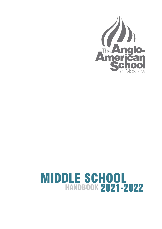

# HANDBOOK MIDDLE SCHOOL 2021-2022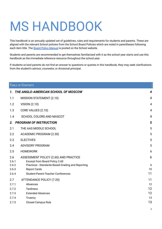# MS HANDBOOK

This handbook is an annually updated set of guidelines, rules and requirements for students and parents. These are aligned with the relevant School policies from the School Board Policies which are noted in parentheses following each item title. The Board Policy [Manual](https://resources.finalsite.net/images/v1591787031/aasru/jdbaprbreqajxk9rvnmu/BOARDPOLICYMANUAL2020-2021.pdf) is posted on the School website.

Students and parents are recommended to get themselves familiarized with it as the school year starts and use this handbook as the immediate reference resource throughout the school year.

If students or/and parents do not find an answer to questions or queries in this handbook, they may seek clarifications from the student's advisor, counselor, or divisional principal.

|              | TABLE OF CONTENTS                                                       |                |
|--------------|-------------------------------------------------------------------------|----------------|
|              | 1. THE ANGLO-AMERICAN SCHOOL OF MOSCOW                                  | 4              |
| 1.1          | MISSION STATEMENT (2.10)                                                | $\overline{4}$ |
| 1.2          | <b>VISION (2.10)</b>                                                    | $\overline{4}$ |
| 1.3          | CORE VALUES (2.10)                                                      | 4              |
| 1.4          | SCHOOL COLORS AND MASCOT                                                | $\overline{4}$ |
| 2.           | <b>PROGRAM OF INSTRUCTION</b>                                           | 5              |
| 2.1          | THE AAS MIDDLE SCHOOL                                                   | 5              |
| 2.2          | ACADEMIC PROGRAM (2.30)                                                 | 5              |
| 2.3          | <b>ELECTIVES</b>                                                        | 5              |
| 2.4          | <b>ADVISORY PROGRAM</b>                                                 | 5              |
| 2.5          | <b>HOMEWORK</b>                                                         | 6              |
| 2.6<br>2.6.1 | ASSESSMENT POLICY (2.60) AND PRACTICE<br>Excerpt from Board Policy 2.60 | 6              |
| 2.6.2        | Practices - Standards-Based Grading and Reporting                       | 6              |
| 2.6.3        | <b>Report Cards</b>                                                     | 10             |
| 2.6.4        | <b>Student-Parent-Teacher Conferences</b>                               | 11             |
| 2.7          | ATTENDANCE POLICY (7.20)                                                | 11             |
| 2.7.1        | Absences                                                                | 12             |
| 2.7.2        | <b>Tardiness</b>                                                        | 12             |
| 2.7.3        | <b>Extended Absences</b>                                                | 12             |
| 2.7.4        | Truancy                                                                 | 13             |
| 2.7.5        | <b>Closed Campus Rule</b>                                               | 13             |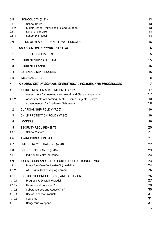| 2.8<br>2.8.1<br>2.8.2<br>2.8.3<br>2.8.4      | <b>SCHOOL DAY (6.21)</b><br><b>School Hours</b><br>Middle School Daily Schedule and Rotation<br>Lunch and Breaks<br><b>School Dismissal</b>                                                                       | 13<br>13<br>13<br>14<br>15 |
|----------------------------------------------|-------------------------------------------------------------------------------------------------------------------------------------------------------------------------------------------------------------------|----------------------------|
| 2.9                                          | END OF YEAR OR TRANSFER/WITHDRAWAL                                                                                                                                                                                | 15                         |
| 3.                                           | <b>AN EFFECTIVE SUPPORT SYSTEM</b>                                                                                                                                                                                | 15                         |
| 3.1                                          | <b>COUNSELING SERVICES</b>                                                                                                                                                                                        | 15                         |
| 3.2                                          | <b>STUDENT SUPPORT TEAM</b>                                                                                                                                                                                       | 15                         |
| 3.3                                          | <b>STUDENT PLANNERS</b>                                                                                                                                                                                           | 16                         |
| 3.4                                          | <b>EXTENDED DAY PROGRAM</b>                                                                                                                                                                                       | 16                         |
| 3.5                                          | <b>MEDICAL CARE</b>                                                                                                                                                                                               | 16                         |
| 4.                                           | A SOUND SET OF SCHOOL OPERATIONAL POLICIES AND PROCEDURES                                                                                                                                                         | 17                         |
| 4.1<br>4.1.1<br>4.1.2<br>4.1.3               | <b>GUIDELINES FOR ACADEMIC INTEGRITY</b><br>Assessment for Learning - Homework and Class Assignments<br>Assessments of Learning - Tests, Quizzes, Projects, Essays<br><b>Consequences for Academic Dishonesty</b> | 17<br>17<br>18<br>18       |
| 4.2                                          | <b>GUARDIANSHIP POLICY (7.25)</b>                                                                                                                                                                                 | 19                         |
| 4.3                                          | CHILD PROTECTION POLICY (7.80)                                                                                                                                                                                    | 19                         |
| 4.4                                          | <b>LOCKERS</b>                                                                                                                                                                                                    | 20                         |
| 4.5<br>4.5.1                                 | <b>SECURITY REQUIREMENTS</b><br><b>School Visitors</b>                                                                                                                                                            | 20<br>21                   |
| 4.6                                          | <b>TRANSPORTATION RULES</b>                                                                                                                                                                                       | 21                         |
| 4.7                                          | <b>EMERGENCY SITUATIONS (4.20)</b>                                                                                                                                                                                | 22                         |
| 4.8<br>4.8.1                                 | SCHOOL INSURANCE (4.40)<br>Individual Health Insurance                                                                                                                                                            | 23<br>23                   |
| 4.9<br>4.9.1<br>4.9.2                        | POSSESSION AND USE OF PORTABLE ELECTRONIC DEVICES<br>Bring-Your-Own-Device (BYOD) guidelines<br>AAS Digital Citizenship Agreement                                                                                 | 23<br>24<br>25             |
| 4.10<br>4.10.1<br>4.10.2<br>4.10.3<br>4.10.4 | STUDENT CONDUCT (7.30) AND BEHAVIOR<br>Progressive Discipline Model<br>Harassment Policy (6.31)<br>Substance Use and Abuse (7.31).<br>Use of Tobacco Products                                                     | 26<br>27<br>28<br>30<br>31 |
| 4.10.5                                       | Searches                                                                                                                                                                                                          | 31                         |
| 4.10.6                                       | Dangerous Weapons                                                                                                                                                                                                 | 31                         |
|                                              |                                                                                                                                                                                                                   | 2                          |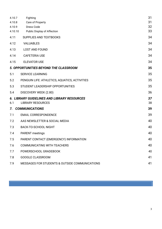| 4.10.7  | Fighting                                           | 31 |
|---------|----------------------------------------------------|----|
| 4.10.8  | Care of Property                                   | 31 |
| 4.10.9  | Dress Code                                         | 32 |
| 4.10.10 | <b>Public Display of Affection</b>                 | 33 |
| 4.11    | SUPPLIES AND TEXTBOOKS                             | 34 |
| 4.12    | <b>VALUABLES</b>                                   | 34 |
| 4.13    | <b>LOST AND FOUND</b>                              | 34 |
| 4.14    | <b>CAFETERIA USE</b>                               | 34 |
| 4.15    | <b>ELEVATOR USE</b>                                | 34 |
|         | 5. OPPORTUNITIES BEYOND THE CLASSROOM              | 35 |
| 5.1     | <b>SERVICE LEARNING</b>                            | 35 |
| 5.2     | PENGUIN LIFE: ATHLETICS, AQUATICS, ACTIVITIES      | 35 |
| 5.3     | STUDENT LEADERSHIP OPPORTUNITIES                   | 35 |
| 5.4     | DISCOVERY WEEK (2.80)                              | 36 |
|         | <b>6. LIBRARY GUIDELINES AND LIBRARY RESOURCES</b> | 37 |
| 6.1     | <b>LIBRARY RESOURCES</b>                           | 38 |
| 7.      | <b>COMMUNICATIONS</b>                              | 39 |
| 7.1     | <b>EMAIL CORRESPONDENCE</b>                        | 39 |
| 7.2     | AAS NEWSLETTER & SOCIAL MEDIA                      | 40 |
| 7.3     | <b>BACK-TO-SCHOOL NIGHT</b>                        | 40 |
| 7.4     | <b>PARENT</b> meetings                             | 40 |
| 7.5     | PARENT CONTACT (EMERGENCY) INFORMATION             | 40 |
| 7.6     | <b>COMMUNICATING WITH TEACHERS</b>                 | 40 |
| 7.7     | POWERSCHOOL GRADEBOOK                              | 40 |
| 7.8     | <b>GOOGLE CLASSROOM</b>                            | 41 |
| 7.9     | MESSAGES FOR STUDENTS & OUTSIDE COMMUNICATIONS     | 41 |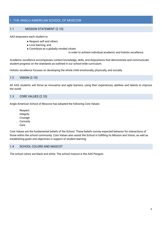# 1. THE ANGLO-AMERICAN SCHOOL OF MOSCOW

# <span id="page-4-0"></span>1.1 MISSION STATEMENT (2.10)

#### AAS empowers each student to

- Respect self and others
- Love learning, and
- Contribute as a globally minded citizen

in order to achieve individual academic and holistic excellence.

Academic excellence encompasses content knowledge, skills, and dispositions that demonstrate and communicate student progress on the standards as outlined in our school-wide curriculum.

Holistic excellence focuses on developing the whole child emotionally, physically, and socially.

#### <span id="page-4-1"></span>1.2 VISION (2.10)

All AAS students will thrive as innovative and agile learners, using their experiences, abilities and talents to improve the world.

# <span id="page-4-2"></span>1.3 CORE VALUES (2.10)

Anglo-American School of Moscow has adopted the following Core Values:

Respect Integrity Courage **Curiosity** Care

Core Values are the fundamental beliefs of the School. These beliefs convey expected behavior for interactions of those within the school community. Core Values also assist the School in fulfilling its Mission and Vision, as well as establishing goals and objectives in support of student learning.

#### <span id="page-4-3"></span>1.4 SCHOOL COLORS AND MASCOT

The school colors are black and white. The school mascot is the AAS Penguin.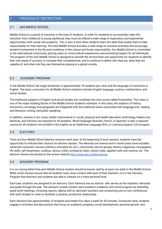# <span id="page-5-0"></span>2 PROGRAM OF INSTRUCTION

#### 2.1 AAS MIDDLE SCHOOL

Middle School is a period of transition in the lives of students. In order for students to successfully make this transition from childhood to young adulthood, they must be offered a wide range of exploratory and experiential opportunities, both social and academic. This is also a time when students learn the skills that enable them to take responsibility for their learning. The AAS Middle School provides a wide range of inclusive activities that encourage student involvement in the life and conditions of the school and foster responsibility. Our Middle School is committed to the international community, placing value on cross-cultural experiences and promoting respect for all individuals. The program of the AAS Middle School is designed to provide the environment and opportunity for students to identify their own areas of success, to increase their competencies, and to continue to define who they are, what they are capable of, and what role they see themselves playing in a global society.

#### <span id="page-5-1"></span>2.2 ACADEMIC PROGRAM

In the Middle School, the target enrolment is approximately 18 students per class and the language of instruction is English. The basic curriculum for all Middle School students includes English language, science, mathematics, and social studies.

The traditional subjects of English and social studies are combined into one course called Humanities. This class is one of the major building blocks of the Middle School student's schedule. In this class, the subjects of history, economics, sociology, and geography are integrated with the traditional areas associated with language arts: reading and literature, writing, and public speaking.

In addition, classes in art, music (either instrumental or vocal), physical and health education, technology, theatre arts, electives, and Advisory are required for all students. World language (Russian, French, or Spanish) is also a required course for all students not enrolled in the English as an Additional Language (EAL) or Learning Support (LS) program.

# 2.3 ELECTIVES

There are four Middle School elective sessions each year. At the beginning of each session, students have the opportunity to indicate their choices for elective classes. The electives are diverse and in recent years have included: advanced computer courses (robotics, animated art, etc.), community service groups, literary magazines, newspapers, life skills, self-awareness, cooking, various crafts, ecological clubs, culture clubs, applied math and science, etc. The elective choices are posted on the school website [http://www.aas.ru/learning/ms.](http://www.aas.ru/learning/ms)

#### <span id="page-5-2"></span>2.4 ADVISORY PROGRAM

It is our strong belief that each Middle School student should be known well by at least one adult in the Middle School. While small classes ensure that all students have close contact with each of their teachers, it is in the Advisory Program that teachers and students are able to interact on a more personal level.

Each year, students are assigned to an Advisory. Each Advisory has an advisor who serves as the students' advocate and guide through the year. The advisors closely monitor each student's academic and social progress by attending grade level meetings, reviewing reports, talking with an advisee's teachers and conducting one-on-one conferences with each student in order to facilitate a positive, productive relationship.

Each Advisory has approximately 10 students and meets four days a week for 30 minutes. During this time, students engage in activities and discussions that focus on academic progress, social development, personal growth, and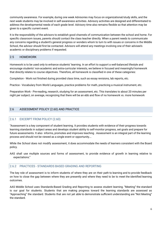community awareness. For example, during one week Advisories may focus on organizational/study skills, and the next week students may be involved in self-awareness activities. Advisory activities are designed and differentiated to address the developmental needs of each grade level. Advisory time also remains flexible so that attention may be given to a specific current event.

It is the responsibility of the advisors to establish good channels of communication between the school and home. For specific classroom issues, parents should contact the class teacher directly. When a parent needs to communicate any concerns regarding a student's general progress or wonders whom to turn to with issues or concerns in the Middle School, the advisor should first be contacted. Advisors will attend any meetings involving one of their advisee's academic or disciplinary problems if requested.

# 2.5 HOMEWORK

Homework is to be used only to enhance students' learning. In an effort to support a well-balanced lifestyle and encourage students' non-academic and extra-curricular interests, we believe in focused and meaningful homework that directly relates to course objectives. Therefore, all homework is classified in one of these categories:

Completion - Work not finished during provided class time, such as essay revisions, lab reports, etc.

Practice - Vocabulary from World Languages, practice problems for math, practicing a musical instrument, etc.

Preparation Work - Pre-reading, research, studying for an assessment, etc. This translates to about 20 minutes per night per subject, on average, recognizing that there will be an ebb and flow of no homework vs. more homework

# <span id="page-6-0"></span>2.6 ASSESSMENT POLICY (2.60) AND PRACTICE

# 2.6.1 EXCERPT FROM POLICY (2.60)

"Assessment is a key component of student learning. It provides students with evidence of their progress towards learning standards in subject areas and develops student ability to self-monitor progress, set goals and prepare for future assessments. It also informs, promotes and improves teaching . Assessment is an integral part of the learning process and should not be viewed as a single event or opportunity….

While the School does not modify assessment, it does accommodate the needs of learners consistent with the Board policy.

AAS shall use multiple sources and forms of assessment, to provide evidence of growth in learning relative to expectations."

# 2.6.2 PRACTICES - STANDARDS BASED GRADING AND REPORTING

The key role of assessment is to inform students of where they are on their path to learning and to provide feedback on how to close the gap between where they are presently and where they need to be to meet the identified learning outcomes.

AAS Middle School uses Standards-Based Grading and Reporting to assess student learning. "Meeting" the standard is our goal for students. Students that are making progress toward the learning standards are assessed as "Approaching" the standard. Students that are not yet able to demonstrate sufficient understanding are "Not Meeting" the standard.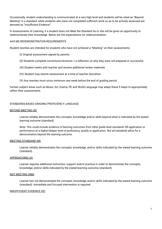Occasionally, student understanding is communicated at a very high level and students will be rated as "Beyond Meeting" in a standard, while students who have not completed sufficient work so as to be actively assessed are denoted as "Insufficient Evidence".

In Assessments of Learning, if a student does not Meet the Standard he or she will be given an opportunity to redemonstrate their knowledge. Below are the expectations for redemonstration:

#### AAS MS REDEMONSTRATION REQUIREMENTS

Student rewrites are intended for students who have not achieved a "Meeting" on their assessments.

- (I) Original assessment signed by parents
- (II) Students complete corrections/revisions + a reflection on why they were not prepared or successful
- (III) Student meets with teacher and receive additional review materials
- (IV) Student may rewrite assessment at a time of teacher discretion
- (V) Any rewrites must occur minimum one week before the end of grading period.

Certain subject areas such as Music, Art, Drama, PE and World Language may adapt these 5 steps to appropriately reflect their assessments.

#### STANDARDS-BASED GRADING PROFICIENCY LANGUAGE

#### BEYOND MEETING (B)

Learner reliably demonstrates the concepts, knowledge and/or skills beyond what is indicated by the stated learning outcome (standard).

*Note: This could include evidence of learning outcomes from other grade level standards OR application or performance at a higher/deeper level of proficiency, quality or application. Not all standards allow for a demonstration beyond the learning outcome.*

#### MEETING STANDARD (M)

Learner reliably demonstrates the concepts, knowledge, and/or skills indicated by the stated learning outcome (standard).

#### APPROACHING (A)

Learner requires additional instruction, support and/or practice in order to demonstrate the concepts, knowledge, and/or skills indicated by the stated learning outcome (standard).

#### NOT MEETING (NM)

Learner has not demonstrated the concepts, knowledge and/or skills indicated by the stated learning outcome (standard). Immediate and focused intervention is required.

#### INSUFFICIENT EVIDENCE (IE)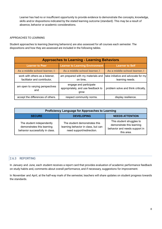Learner has had no or insufficient opportunity to provide evidence to demonstrate the concepts, knowledge, skills and/or dispositions indicated by the stated learning outcome (standard). This may be a result of absence, behavior or academic considerations.

#### APPROACHES TO LEARNING

Student approaches to learning (learning behaviors) are also assessed for all courses each semester. The dispositions and how they are assessed are included in the following tables.

| <b>Approaches to Learning - Learning Behaviors</b>              |                                                                      |                                                        |  |
|-----------------------------------------------------------------|----------------------------------------------------------------------|--------------------------------------------------------|--|
| <b>Learner to Peer</b>                                          | <b>Learner to Learning Environment</b>                               | <b>Learner to Self</b>                                 |  |
| As a middle school learner, I:                                  | As a middle school learner, I                                        | As a middle school learner, I                          |  |
| work with others as a listener,<br>facilitator and contributor, | am prepared with my materials and<br>on time,                        | take initiative and advocate for my<br>learning needs. |  |
| am open to varying perspectives<br>and                          | engage and participate<br>appropriately, and use feedback to<br>grow | problem solve and think critically,                    |  |
| accept the differences of others.                               | respect community norms.                                             | display resilience.                                    |  |

| <b>Proficiency Language for Approaches to Learning</b>                                     |                                                                                                   |                                                                                                       |  |
|--------------------------------------------------------------------------------------------|---------------------------------------------------------------------------------------------------|-------------------------------------------------------------------------------------------------------|--|
| <b>SECURE</b>                                                                              | <b>DEVELOPING</b>                                                                                 | <b>NEEDS ATTENTION</b>                                                                                |  |
| The student independently<br>demonstrates this learning<br>behavior successfully in class. | The student demonstrates this<br>learning behavior in class, but can<br>need support/redirection. | This student struggles to<br>demonstrate this learning<br>behavior and needs support in<br>this area. |  |

# <span id="page-8-0"></span>2.6.3 REPORTING

In January and June, each student receives a report card that provides evaluation of academic performance feedback on study habits and, comments about overall performance, and if necessary, suggestions for improvement.

In November and April, at the half-way mark of the semester, teachers will share updates on student progress towards the standards.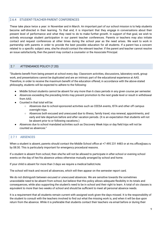# <span id="page-9-1"></span>2.6.4 STUDENT-TEACHER-PARENT CONFERENCES

These take place twice a year: in November and in March. An important part of our school mission is to help students become self-directed in their learning. To that end, it is important that they engage in conversations about their present level of performance and what they need to do to make further growth. In support of that goal, we wish to actively encourage student participation in our parent teacher conferences. Parents or teachers may also initiate contact and request conferences at other times during the school year as the need arises. We want to work in partnership with parents in order to provide the best possible education for all students. If a parent has a concern related to a specific subject area, she/he should contact the relevant teacher. If the parent and teacher cannot resolve an issue satisfactorily, then the parent may contact a counselor or the Associate Principal.

# <span id="page-9-0"></span>2.7 ATTENDANCE POLICY (7.20)

"Students benefit from being present at school every day. Classroom activities, discussions, laboratory work, group work, and presentations cannot be duplicated and are an intrinsic part of the educational experience at AAS. Therefore, in order to receive the maximum benefit of the education offered, in accordance with the above-stated philosophy, students will be expected to adhere to the following:

- Middle School students cannot be absent for any more than 6 class periods in any given course per semester.
- Absences exceeding the preceding limits may prevent promotion to the next grade level or result in withdrawal from AAS.
- Counted in that total will be:
	- Absences due to school-sponsored activities such as CEESA events, ISTA and other off campus overnight trips.
	- Absences both excused and unexcused due to illness, family travel, visa renewal, appointments, and early and late departure before and after vacation periods. (It is an expectation that students will not be absent prior to or following vacations.)
- Absences due to school mandated activities such as Discovery Week trips or day field trips will not be counted as absences."

# <span id="page-9-2"></span>2.7.1 ABSENCES

When a student is absent, parents should contact the Middle School office at +7 495 231 4483 or at ms.office@aas.ru by 08:30. This is particularly important for emergency procedural reasons.

If a student is absent from school, then she/he will not be allowed to participate in after-school or evening school events on the day of her/his absence unless otherwise mutually arranged by school and home.

If your child is absent for more than 3 days we require a medical ballot/note.

The school will track and record all absences, which will then appear on the semester report card.

We do not distinguish between excused or unexcused absences. We are sensitive towards the sometimes unavoidable need to be absent from school, but believe that this policy allows adequate flexibility in its totals and consequences, while also supporting the student's need to be in school and their right to learn. A total of six classes is equivalent to more than two weeks of school and should be sufficient to meet all personal absence needs.

It is a requirement that all students remain current with assigned work given the days missed. It is the responsibility of the student to consult with the teachers involved to find out what the missing work is, and when it will be due upon return from the absence. While it is preferable that students contact their teachers via email before or during their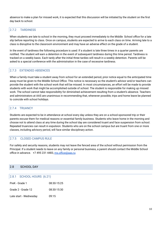absence to make a plan for missed work, it is expected that this discussion will be initiated by the student on the first day back to school.

# <span id="page-10-0"></span>2.7.2 TARDINESS

When students are late to school in the morning, they must proceed immediately to the Middle School office for a late slip before reporting to class. Once on campus, students are expected to arrive to each class on time. Arriving late to a class is disruptive to the classroom environment and may have an adverse effect on the grade of a student.

In the event of tardiness the following procedure is used: If a student is late three times in a quarter parents are notified. The student will earn a detention in the event of subsequent tardiness during this time period. Tardiness is tracked on a weekly basis. Each tardy after the initial three tardies will result in a weekly detention. Parents will be asked to a special conference with the administration in the case of excessive tardiness.

# <span id="page-10-1"></span>2.7.3 EXTENDED ABSENCES

When a family must take a student away from school for an extended period, prior notice equal to the anticipated time away must be given to the Middle School Office. This notice is necessary so the student's advisor and/or teachers can provide the student with the school work that will be missed. In most circumstances, an effort will be made to provide students with work that might be accomplished outside of school. The student is responsible for making up missed work. The school cannot take responsibility for diminished achievement resulting from a student's absence. Teachers and administrators at AAS are unanimous in recommending that, whenever possible, trips and home leave be planned to coincide with school holidays.

# <span id="page-10-2"></span>2.7.4 TRUANCY

Students are expected to be in attendance at school every day unless they are on a school-sponsored trip or their parents excuse them for medical reasons or essential family business. Students who leave home in the morning and choose not to attend class at any time during the school day are considered truant and face suspension from school. Repeated truancies can result in expulsion. Students who are on the school campus but are truant from one or more classes, including advisory period, will face similar disciplinary action.

#### <span id="page-10-3"></span>2.7.5 CLOSED CAMPUS RULE

For safety and security reasons, students may not leave the fenced area of the school without permission from the Principal. If a student needs to leave on any family or personal business, a parent should contact the Middle School office in advance. +7 495 231 4483, [ms.office@aas.ru](mailto:ms.office@aas.ru)

#### <span id="page-10-4"></span>2.8 SCHOOL DAY

#### 2.8.1 SCHOOL HOURS (6.21)

| PreK - Grade 1         | 08:30-15:25 |
|------------------------|-------------|
| Grade 2 - Grade 12     | 08:30-15:30 |
| Late start - Wednesday | 09:15       |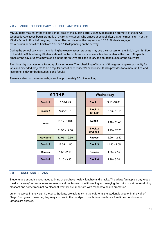# 2.8.2 MIDDLE SCHOOL DAILY SCHEDULE AND ROTATION

MS Students may enter the Middle School area of the building after 08:00. Classes begin promptly at 08:30. On Wednesdays, classes begin promptly at 09:15. Any student who arrives at school after that time must sign in at the Middle School office before going to class. The last class of the day ends at 15:30. Students engaged in extra-curricular activities finish at 16:30 or 17:45 depending on the activity.

During the school day when transitioning between classes, students may use their lockers on the 2nd, 3rd, or 4th floor of the Middle School wing. Students should not be in classrooms unless a teacher is also in the room. At specific times of the day, students may also be in the North Gym area, the library, the student lounge or the courtyard.

The class day operates on a four-day block schedule. The scheduling of blocks of time gives ample opportunity for labs and extended projects to be a regular part of each student's experience. It also provides for a more unified and less frenetic day for both students and faculty.

There are also two recesses a day - each approximately 20 minutes long.

|                 | <b>MTTHF</b>    |  | Wednesday                  |                 |
|-----------------|-----------------|--|----------------------------|-----------------|
| <b>Block 1</b>  | 8:30-9:45       |  | <b>Block 1</b>             | $9:15 - 10:30$  |
| <b>Block 2</b>  | $9:55-11:10$    |  | <b>Block 2</b><br>1st half | $10:35 - 11:10$ |
| Lunch           | $11:10 - 11:35$ |  | Lunch                      | 11:10 - 11:40   |
|                 | $11:35 - 12:00$ |  | <b>Block 2</b><br>2nd half | 11:45 - 12:20   |
| <b>Advisory</b> | $12:05 - 12:30$ |  | <b>Recess</b>              | 12:20 - 12:40   |
| <b>Block 3</b>  | $12:35 - 1:50$  |  | <b>Block 3</b>             | $12:45 - 1:55$  |
| <b>Recess</b>   | $1:50 - 2:10$   |  | <b>Recess</b>              | $1:55 - 2:15$   |
| <b>Block 4</b>  | $2:15 - 3:30$   |  | <b>Block 4</b>             | $2:20 - 3:30$   |

# <span id="page-11-0"></span>2.8.3 LUNCH AND BREAKS

Students are strongly encouraged to bring or purchase healthy lunches and snacks. The adage "an apple a day keeps the doctor away" serves adolescent minds and bodies well. Healthy eating and enjoying the outdoors at breaks during pleasant and sometimes not-so-pleasant weather are important with respect to health promotion.

Lunch is served in the North Cafeteria. Students are able to sit in the cafeteria, the student lounge or in the Hall of Flags. During warm weather, they may also eat in the courtyard. Lunch time is a device free time - no phones or laptops are allowed.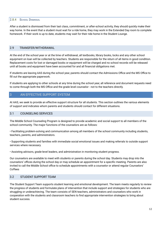#### <span id="page-12-0"></span>2.8.4 SCHOOL DISMISSAL

After a student is dismissed from their last class, commitment, or after-school activity, they should quickly make their way home. In the event that a student must wait for a ride home, they may work in the Extended Day room to complete homework. If their work is up to date, students may wait for their ride home in the Student Lounge.

# <span id="page-12-1"></span>2.9 TRANSFER/WITHDRAWAL

At the end of the school year or at the time of withdrawal, all textbooks, library books, locks and any other school equipment on loan will be collected by teachers. Students are responsible for the return of all items in good condition. Replacement costs for lost or damaged books or equipment will be charged and no school records will be released until all books and equipment have been accounted for and all financial obligations met.

If students are leaving AAS during the school year, parents should contact the Admissions Office and the MS Office to fill out the appropriate paperwork.

If students are applying to other schools at any time during the school year, all reference and document requests need to come through both the MS Office and the grade level counselor - not to the teachers directly.

# <span id="page-12-2"></span>3 AN EFFECTIVE SUPPORT SYSTEM

At AAS, we seek to provide an effective support structure for all students. This section outlines the various elements of support and indicates whom parents and students should contact for different situations.

# <span id="page-12-3"></span>3.1 COUNSELING SERVICES

The Middle School Counseling Program is designed to provide academic and social support to all members of the school community. The major functions of the counselors are as follows:

• Facilitating problem-solving and communication among all members of the school community including students, teachers, parents, and administrators.

• Supporting students and families with immediate social emotional issues and making referrals to outside support services where necessary.

• Assisting advisors, grade-level leaders, and administration in monitoring student progress.

Our counselors are available to meet with students or parents during the school day. Students may drop into the counselors' offices during the school day or may schedule an appointment for a specific meeting. Parents are also invited to call the Middle School office to schedule appointments with a counselor or attend regular Counselors' Coffees

# <span id="page-12-4"></span>3.2 STUDENT SUPPORT TEAM

The Student Support Team supports student learning and emotional development. The team meets regularly to review the progress of students and formulate plans of intervention that include support and strategies for students who are struggling or underachieving. The team consists of SEN teachers, administrators and counselors who work in cooperation with the students and classroom teachers to find appropriate intervention strategies to bring about student success.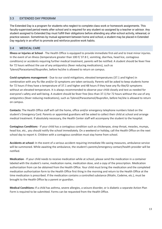# <span id="page-13-0"></span>3.3 EXTENDED DAY PROGRAM

The Extended Day is a program for students who neglect to complete class work or homework assignments. This faculty-supervised period meets after school and is required for any student so assigned by a teacher or advisor. Any student assigned to Extended Day must fulfill their obligations before attending any after-school activity, rehearsal, or practice session. Sometimes by mutual agreement between home and school, a student may be placed in Extended Day regularly in an effort to promote and reinforce positive work habits.

# <span id="page-13-1"></span>3.4 MEDICAL CARE

**Illness or Injuries at School** - The Health Office is equipped to provide immediate first-aid and to treat minor injuries. In the event of an illness (temperature greater than 100 F/ 37.8 C, vomiting, diarrhea, head lice, contagious conditions) or accidents requiring further medical treatment, parents will be notified. A student should be fever free for 72 hours without the use of any antipyretics (fever reducing medications), such as Tylenol/Paracetamol/Ibuprofen, before he/she is allowed to return on campus.

**Covid symptoms management** - Due to our covid mitigations, elevated temperatures (37.1 and higher) in combination with any flu-like and/or GI symptoms are taken seriously. Parents will be asked to keep students home for 72 hours if they have a temperature of 37.1 and higher and 48 hours if they have any flu-like/GI symptoms without an elevated temperature. It is always recommended to observe your child closely and test as needed for everyone's safety and well-being. A student should be fever free (less than 37.1) for 72 hours without the use of any antipyretics (fever reducing medications), such as Tylenol/Paracetamol/Ibuprofen, before he/she is allowed to return on campus.

**Contacts:** The Health Office staff will call the home, office and/or emergency telephone numbers listed on the student's Emergency Card. Parents or appointed guardians will be asked to collect their child at school and arrange medical treatment. If absolutely necessary, the Health Center staff will accompany the student to the hospital.

**Contagious Conditions** - If your child has a contagious condition such as chickenpox, strep throat, measles, mumps, head lice, etc., you should notify the school immediately. On a weekend or holiday, call the Health Office on the next school day to report it. Children with a contagious condition must stay home from school.

**Accidents at school:** In the event of a serious accident requiring immediate life-saving measures, ambulance service will be summoned. While awaiting the ambulance, the student's parents/emergency contact/health provider will be notified.

**Medication** - If your child needs to receive medication while at school, please send the medication in a container labeled with the student's name, medication name, medication dose, and a copy of the prescription. Medication authorization from can be obtained from the Health Office. Your child must bring the medication and the completed medication authorization form to the Health Office first thing in the morning and return to the Health Office at the time medication is prescribed. If the medication contains a controlled substance (Ritalin, Codeine, etc.), must be brought to the Health Office by a parent or guardian.

**Medical Conditions:** If a child has asthma, severe allergies, a seizure disorder, or is diabetic a separate Action Plan Form is required to be submitted. Forms can be requested from the Health Office.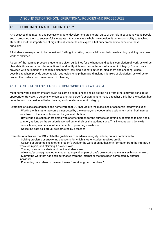# <span id="page-14-0"></span>4. A SOUND SET OF SCHOOL 0PERATIONAL POLICIES AND PROCEDURES

# <span id="page-14-1"></span>4.1 GUIDELINES FOR ACADEMIC INTEGRITY

AAS believes that integrity and positive character development are integral parts of our role in educating young people and in preparing them to successfully integrate into society as a whole. We consider it our responsibility to teach our students about the importance of high ethical standards and expect all of our community to adhere to these principles.

All students are expected to be honest and forthright in taking responsibility for their own learning by doing their own work, at all times.

As part of the learning process, students are given guidelines for the honest and ethical completion of work, as well as clear definitions and examples of actions that directly violate our expectations of academic integrity. Students are provided with definitions of academic dishonesty, including, but not limited to, plagiarism and cheating. Where possible, teachers provide students with strategies to help them avoid making mistakes of plagiarism, as well as to protect themselves from involvement in cheating.

# 4.1.1 ASSESSMENT FOR LEARNING - HOMEWORK AND CLASSROOM

Most homework assignments are given as learning experiences and so getting help from others may be considered appropriate. However, a student who copies another person's assignment to make a teacher think that the student has done the work is considered to be cheating and violates academic integrity.

"Examples of class assignments and homework that DO NOT violate the guidelines of academic integrity include:

• Working with another person, as instructed by the teacher, on a cooperative assignment when both names are affixed to the final submission for grade attribution.

• Reviewing a question or problems with another person for the purpose of getting suggestions to help find a solution, as long as the solution is worked out entirely by the student alone. This includes work done with friends, tutors, teachers, or others capable of providing assistance.

• Collecting data as a group, as instructed by a teacher.

Examples of activities that DO violate the guidelines of academic integrity include, but are not limited to:

- Solving problems or answering questions for which another student receives credit.
- Copying or paraphrasing another student's work or the work of an author, or information from the internet, in whole or in part, and claiming it as one's own.
- Turning in someone else's work as the student's own.
- Allowing/encouraging another student to copy all or part of one's own work and claim it as his or her own.

• Submitting work that has been purchased from the internet or that has been completed by another individual.

• Presenting data tables in the exact same format as group members."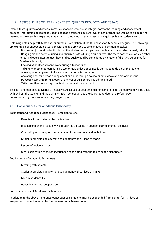# 4.1.2 ASSESSMENTS OF LEARNING - TESTS, QUIZZES, PROJECTS, AND ESSAYS

Exams, tests, quizzes and other summative assessments are an integral part to the learning and assessment process. Information collected is used to assess a student's current level of achievement as well as to guide further learning and review. It is expected that all work completed on exams, tests, and quizzes is the student's own.

Obtaining unfair help with tests and/or quizzes is a violation of the Guidelines for Academic Integrity. The following are examples of unacceptable test behavior and are provided to give an idea of common mistakes:

• Discussing (in detail) a test/quiz that the student has not yet taken with a person who has already taken it. • Bringing hidden notes or using unauthorized notes during a quiz or test. The mere possession of such "cheat notes" indicates intent to use them and as such would be considered a violation of the AAS Guidelines for Academic Integrity.

- Looking at another person's work during a test or quiz.
- Talking to another person during a test or quiz unless specifically permitted to do so by the teacher.
- Allowing another person to look at work during a test or a quiz.
- Assisting another person during a test or a quiz through noises, silent signals or electronic means.
- Possessing, in ANY form, a copy of the test or quiz before it is administered.
- Taking another person's quiz or test for them at their request.

This list is neither exhaustive nor all-inclusive. All issues of academic dishonesty are taken seriously and will be dealt with by both the teacher and the administration; consequences are designed to deter and reform poor decision-making, but can have a long range impact.

#### <span id="page-15-0"></span>4.1.3 Consequences for Academic Dishonesty

1st Instance Of Academic Dishonesty (Remedial Actions):

- Parents will be contacted by the teacher
- Discussions on the reason why a student is partaking in academically dishonest behavior
- Counseling or training on proper academic conventions and techniques
- Student completes an alternate assignment without loss of marks
- Record of incident made
- Clear explanation of the consequences associated with future academic dishonesty

#### 2nd Instance of Academic Dishonesty:

- Meeting with parents
- Student completes an alternate assignment without loss of marks
- Note in student's file
- Possible in-school suspension

Further instances of Academic Dishonesty:

In addition to the above-mentioned consequences, students may be suspended from school for 1-3 days or suspended from extra-curricular involvement for a 2-week period.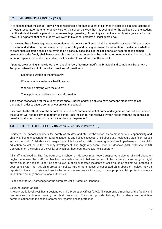# <span id="page-16-0"></span>4.2 GUARDIANSHIP POLICY (7.25)

"It is essential that the school knows who is responsible for each student at all times in order to be able to respond to a medical, security, or other emergency. Further, the school believes that it is essential for the well-being of the student that the student live with a parent (or permanent legal guardian). Accordingly, except in a family emergency or for brief travel, it is expected that each student will live with his or her parent/s or legal guardian/s.

In the event that a family requires an exception to this policy, the Director shall be notified in advance of the separation of parent and student. This notification must be in writing and must give reason for separation. The decision whether to grant such exception shall be determined on a case-by-case basis. If the basis for such separation is deemed unacceptable, the family shall have a suitable time period as determined by the Director to remedy the situation. If this situation repeats frequently, the student shall be asked to withdraw from the school.

If parents are planning a trip without their daughter/son, they must notify the Principal and complete a Statement of Temporary Guardianship form, which provides information on:

- Expected duration of the time away
- Where parents can be reached if needed
- Who will be staying with the student
- The appointed guardian's contact information.

The person responsible for the student must speak English and/or be able to have someone close by who can translate in order to ensure communication with the school.

If it comes to the attention of the school that a student's parents are not at home and a guardian has not been named, the student will not be allowed to return to school until the school has received written notice from the student's legal guardian or the person authorized to act in place of the parents."

#### 4.3. CHILD PROTECTION POLICY (BASED ON SCHOOL BOARD POLICY 7.80)

*Overview:* The school considers the safety of children and staff in the school as its most serious responsibility and child well being is essential to realizing academic and holistic success. Child abuse and neglect are significant issues across the world. Child abuse and neglect are violations of a child's human rights and are impediments to the child's education as well as to their healthy development. The Anglo-American School of Moscow (AAS) endorses the UN Convention on the Rights of the Child, of which our host country, Russia, is a signatory.

All staff employed at The Anglo-American School of Moscow must report suspected incidents of child abuse or neglect whenever the staff member has reasonable cause to believe that a child has suffered, is suffering or might suffer abuse or neglect. Reporting and follow up of all suspected incidents of child abuse or neglect will proceed in accordance with the AAS child protection policy. Furthermore, cases of suspected child abuse or neglect may be reported to the appropriate employer, to the respective embassy in Moscow, to the appropriate child protection agency in the home country, and/or to local authorities.

Please see the AAS homepage for the complete Child Protection Handbook.

#### *Child Protection Officers*

At every grade level, AAS has a designated Child Protection Officer (CPO). This person is a member of the faculty and has received additional training in child protection. They can provide training for students and maintain communication with the school community regarding child protection.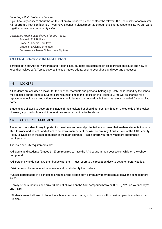#### *Reporting a Child Protection Concern*

If you have any concern about the welfare of an AAS student please contact the relevant CPO, counselor or administor. All reports are kept confidential. If you have a concern please report it, through this shared responsibility we can work together to keep our community safer.

*Designated Middle School CPOs* for 2021-2022

Grade 6 - Erik Bullock Grade 7 - Ksenia Kornilova Grade 8 - Evelyn Lichtenauer Counselors - James Villers, Iana Sigitova

#### 4.3.1 Child Protection in the Middle School

Through both our Advisory program and Health class, students are educated on child protection issues and how to keep themselves safe. Topics covered include trusted adults, peer to peer abuse, and reporting processes.

#### <span id="page-17-0"></span>4.4 LOCKERS

All students are assigned a locker for their school materials and personal belongings. Only locks issued by the school may be used on the lockers. Students are required to keep their locks on their lockers. A fee will be charged for a replacement lock. As a precaution, students should leave extremely valuable items that are not needed for school at home.

Students are allowed to decorate the inside of their lockers but should not post anything on the outside of the locker. However, approved school spirit decorations are an exception to the above.

#### <span id="page-17-1"></span>4.5 SECURITY REQUIREMENTS

The school considers it very important to provide a secure and protected environment that enables students to study, staff to work, and parents and others to be active members of the AAS community. A full version of the AAS Security Policy is available at the reception desk at the main entrance. Please inform your family helpers about these requirements.

The main security requirements are:

• All adults and students (Grades 6-12) are required to have the AAS badge in their possession while on the school compound.

• All persons who do not have their badge with them must report to the reception desk to get a temporary badge.

• Visitors must be announced in advance and must identify themselves.

• Unless participating in a scheduled evening event, all non-staff community members must leave the school before 18:00.

• Family helpers (nannies and drivers) are not allowed on the AAS compound between 08:35 (09:20 on Wednesdays) and 14:55.

• Students are not allowed to leave the school compound during school hours without written permission from the Principal.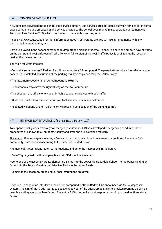# <span id="page-18-0"></span>4.6 TRANSPORTATION RULES

AAS does not provide home-to-school bus services directly. Bus services are contracted between families (or in some cases companies and embassies) and service providers. The school does maintain a cooperation agreement with Transport Link Service (TLS), which has proved to be reliable over the years.

Please visit www.aas.ru/bus for more information about TLS. Parents are free to make arrangements with any transportation provider they wish.

Cars are allowed in the school compound to drop off and pick up students. To ensure a safe and smooth flow of traffic on the compound, AAS enforces a Traffic Policy. A full version of the AAS Traffic Policy is available at the reception desk at the main entrance.

The main requirements are:

• Only vehicles with an AAS Parking Permit can enter the AAS compound. The permit states where the vehicle can be parked. For a detailed description of the parking regulations please read the Traffic Policy.

- The maximum speed on the AAS compound is 10km/h.
- Pedestrians always have the right-of-way on the AAS compound.
- The direction of traffic is one-way only. Vehicles are not allowed to block traffic.
- All drivers must follow the instructions of AAS security personnel at all times.
- Repeated violations of the Traffic Policy will result in confiscation of the parking permit.

#### <span id="page-18-1"></span>4.7 EMERGENCY SITUATIONS (SCHOOL BOARD POLICY 4.20)

To respond quickly and effectively to emergency situations, AAS has developed emergency procedures. Those procedures are known to all students, faculty and staff and are exercised regularly.

Fire Alarm. If an emergency occurs, a fire alarm rings and the school is evacuated immediately. The entire AAS community must respond according to the directions stated below:

• Remain calm, stop talking, listen to instructions, and go to the nearest exit immediately.

• Do NOT go against the flow of people and do NOT use the elevators.

• Go to one of the assembly areas: Elementary School - to the Lower Fields, Middle School - to the Upper Field, High School - to the Tennis Court, Administrative Staff - to the Lower Fields.

• Remain in the assembly areas until further instructions are given.

Code Red. In case of an intruder on the school compound, a "Code Red" will be announced via the loudspeaker system. The aim of the "Code Red" is to get everybody out of the public areas and into a locked room as quickly as possible so they are out of harm's way. The entire AAS community must respond according to the directions stated below: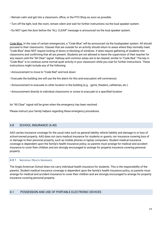- Remain calm and get into a classroom, office, or the PTO Shop as soon as possible.
- Turn off the light, lock the room, remain silent and wait for further instructions via the loud speaker system.
- Do NOT open the door before the "ALL CLEAR" message is announced via the loud speaker system.

Code Blue. In the case of certain emergencies, a "Code Blue" will be announced via the loudspeaker system. All should proceed to their classrooms. Classes that are outside for an activity should return to areas where they normally meet. "Code Blue" does NOT require locking of doors or blocking of windows. It does require gathering of students into classrooms and confirming that all are present. Students are not allowed to leave the supervision of their teacher for any reason until the "All Clear" signal. Hallway and common areas are to be cleared, similar to "Code Red." The key in "Code Blue" is to continue some normal quiet activity in your classroom while you wait for further instructions. These instructions might include any of the following:

- Announcement to move to "Code Red" and lock down
- Evacuate the building (we will use the fire alarm for this and evacuation will commence)
- Announcement to evacuate to other location in the building (e.g. gyms, theaters, cafeterias, etc.)
- Announcement directly to individual classrooms or zones to evacuate to a specified location

An "All Clear" signal will be given when the emergency has been resolved.

Please instruct your family helpers regarding these emergency procedures.

# <span id="page-19-0"></span>4.8 SCHOOL INSURANCE (4.40)

AAS carries insurance coverage for the usual risks such as general liability vehicle liability and damage to or loss of school-owned property. AAS does not carry medical insurance for students or guests, nor insurance covering loss of or damage to their personal property, such as mobile phones or laptop computers. Student medical insurance coverage is dependent upon the family's health insurance policy, so parents must arrange for medical and accident insurance to cover their children and are strongly encouraged to arrange for property insurance covering personal property

# 4.8.1 INDIVIDUAL HEALTH INSURANCE

The Anglo-American School does not carry individual health insurance for students. This is the responsibility of the parents. Student medical insurance coverage is dependent upon the family's health insurance policy, so parents must arrange for medical and accident insurance to cover their children and are strongly encouraged to arrange for property insurance covering personal property.

# <span id="page-19-1"></span>4.9 POSSESSION AND USE OF PORTABLE ELECTRONIC DEVICES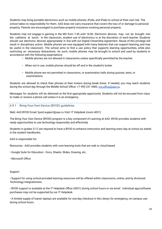Students may bring portable electronics such as mobile phones, iPods, and iPads to school at their own risk. The school takes no responsibility for them. AAS does not carry insurance that covers the loss of or damage to personal property. Parents are encouraged to purchase property insurance covering personal property.

Students may not engage in gaming in the MS from 7:45 until 16:00. Electronic devices may not be brought into the cafeteria at lunch. In the classroom, student use of electronics is at the discretion of each teacher. Students should use electronic devices appropriately in line with our Digital Citizenship Agreement. Abuse of this privilege will result in disciplinary action. Mobile phones are now equipped with many features that can support learning, and may be useful in the classroom. The school aims to find a use policy that supports learning opportunities, while also restricting un- necessary distractions. As such, mobile phones may be brought to school and used by students in accordance with the following expectations:

- Mobile phones are not allowed in classrooms unless specifically permitted by the teacher.
- When not in use, mobile phones should be off and in the student's locker.
- Mobile phone are not permitted in classrooms, or examination halls during quizzes, tests, or examinations.

Students are allowed to check their phones at their lockers during break times. If needed, you may reach students during the school day through the Middle School Office: +7 495 231 4483, [ms.office@aas.ru](mailto:ms.office@aas.ru).

Messages for students will be delivered at the first appropriate opportunity. Students will not be excused from class to make or receive a phone call unless it is an emergency.

# <span id="page-20-0"></span>4.9.1 Bring-Your-Own-Device (BYOD) guidelines

Web: AAS BYOD Email: byod.support@aas.ru Visit: IT Helpdesk (room 4031)

The Bring Your Own Device (BYOD) program is a key component of Learning at AAS. BYOD provides students with ready opportunities to use technology responsibly and effectively.

Students in grades 5-12 are required to have a BYOD to enhance instruction and learning every day at school as stated in the student handbooks.

#### AAS is responsible for:

Resources - AAS provides students with core learning tools that are web or cloud-based.

• Google Suite for Education - Docs, Sheets, Slides, Drawing, etc.

• Microsoft Office

#### Support

• Support for using school-provided learning resources will be offered within classrooms, online, and by divisional Technology Integrationists.

• BYOD support is available at the IT Helpdesk Office (4031) during school hours or via email . Individual app/software purchases may not be supported by our IT Helpdesk.

• A limited supply of loaner laptops are available for one-day checkout in the Library for emergency, on-campus use during school hours.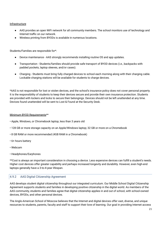#### Infrastructure

- AAS provides an open WiFi network for all community members. The school monitors use of technology and Internet traffic on our network.
- Wireless printing from BYODs is available in numerous locations.

Students/Families are responsible for\*:

- Device maintenance AAS strongly recommends installing routine OS and app updates.
- Transportation Students/families should provide safe transport of BYOD devices (i.e., backpacks with padded pockets, laptop sleeves, and/or cases).
- Charging Students must bring fully charged devices to school each morning along with their charging cable. Lockable charging stations will be available for students to charge devices.

\*AAS is not responsible for lost or stolen devices, and the school's insurance policy does not cover personal property. It is the responsibility of students to keep their devices secure and provide their own insurance protection. Students are provided with lockers and locks to secure their belongings. Devices should not be left unattended at any time. Devices found unattended will be sent to Lost & Found at the Security Desk.

#### Minimum BYOD Requirements\*\*

- Apple, Windows, or Chromebook laptop, less than 3 years old
- 128 GB or more storage capacity on an Apple/Windows laptop; 32 GB or more on a Chromebook
- 8 GB RAM or more recommended (4GB RAM in a Chromebook)
- 6+ hours battery
- Webcam
- Headphones/Earphones

\*\*Cost is always an important consideration in choosing a device. Less expensive devices can fulfill a student's needs. Higher cost devices offer greater capability and perhaps increased longevity and durability. However, even high-end laptops generally have a 3-to-4-year lifespan.

# <span id="page-21-0"></span>4.9.2 AAS Digital Citizenship Agreement

AAS develops student digital citizenship throughout our integrated curriculum. Our Middle School Digital Citizenship Agreement supports students and families in developing positive citizenship in the digital world. As members of the AAS community, students and families agree that digital citizenship applies in and out of school, with school-owned devices, BYODs, and other personal devices.

The Anglo-American School of Moscow believes that the Internet and digital devices offer vast, diverse, and unique resources to students, parents, faculty and staff to support their love of learning. Our goal in providing Internet access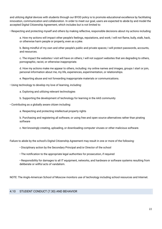and utilizing digital devices with students through our BYOD policy is to promote educational excellence by facilitating innovation, communication and collaboration. In order to meet our goal, users are expected to abide by and model the accepted Digital Citizenship Agreement, which includes but is not limited to:

• Respecting and protecting myself and others by making reflective, responsible decisions about my actions including:

a. How my actions will impact other people's feelings, reputations, and work; I will not flame, bully, stalk, hack, or otherwise harm people or property, even as a joke.

b. Being mindful of my own and other people's public and private spaces; I will protect passwords, accounts, and resources.

c. The impact the websites I visit will have on others; I will not support websites that are degrading to others, pornographic, racist, or otherwise inappropriate.

d. How my actions make me appear to others, including: my online names and images, groups I start or join, personal information about me, my life, experiences, experimentation, or relationships.

e. Reporting abuse and not forwarding inappropriate materials or communications.

• Using technology to develop my love of learning, including:

a. Exploring and utilizing relevant technologies

b. Supporting the development of technology for learning in the AAS community

• Contributing as a globally aware citizen including:

a. Respecting and protecting intellectual property rights

b. Purchasing and registering all software, or using free and open source alternatives rather than pirating software

c. Not knowingly creating, uploading, or downloading computer viruses or other malicious software.

Failure to abide by the school's Digital Citizenship Agreement may result in one or more of the following:

- Disciplinary action by the Secondary Principal and/or Director of the school
- The notification to the appropriate legal authorities for prosecution, if required

• Responsibility for damages to all IT equipment, networks, and hardware or software systems resulting from deliberate or willful acts of vandalism.

NOTE: The Anglo-American School of Moscow monitors use of technology including school resources and Internet.

# <span id="page-22-0"></span>4.10 STUDENT CONDUCT (7.30) AND BEHAVIOR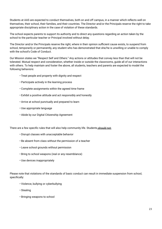Students at AAS are expected to conduct themselves, both on and off campus, in a manner which reflects well on themselves, their school, their families, and their countries. The Director and/or the Principals reserve the right to take appropriate disciplinary action in the case of violation of these standards.

The school expects parents to support its authority and to direct any questions regarding an action taken by the school to the particular teacher or Principal involved without delay.

The Director and/or the Principals reserve the right, where in their opinion sufficient cause exists, to suspend from school, temporarily or permanently, any student who has demonstrated that she/he is unwilling or unable to comply with the school's Code of Conduct.

Our Mission states we "Respect Self and Others." Any actions or attitudes that convey less than that will not be tolerated. Mutual respect and consideration, whether inside or outside the classrooms, guide all of our interactions with others. To help maintain and foster the above, all students, teachers and parents are expected to model the following behaviors:

- Treat people and property with dignity and respect
- Participate actively in the learning process
- Complete assignments within the agreed time frame
- Exhibit a positive attitude and act responsibly and honestly
- Arrive at school punctually and prepared to learn
- Use appropriate language
- Abide by our Digital Citizenship Agreement

There are a few specific rules that will also help community life. Students should not:

- Disrupt classes with unacceptable behavior
- Be absent from class without the permission of a teacher
- Leave school grounds without permission
- Bring to school weapons (real or any resemblance)
- Use devices inappropriately

Please note that violations of the standards of basic conduct can result in immediate suspension from school, specifically:

- Violence, bullying or cyberbullying
- Stealing
- Bringing weapons to school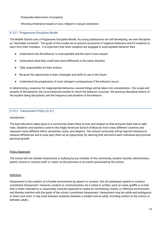- Purposeful destruction of property
- Showing intolerance based on race, religion or sexual orientation

# <span id="page-24-0"></span>4.10.1 Progressive Discipline Model

The Middle School uses a Progressive Discipline Model. As young adolescents are still developing, we view discipline as "teachable moments". The goals of this model are to prevent recurrence of negative behaviors and for students to learn from their mistakes. It is important that when students are engaged in unacceptable behavior they:

- Understand why the behavior is unacceptable and the harm it has caused
- Understand what they could have done differently in the same situation
- Take responsibility for their actions
- Be given the opportunity to learn strategies and skills to use in the future
- Understand the progression of more stringent consequences if the behavior recurs

In determining a response for inappropriate behaviour, several things will be taken into consideration: the scope and severity of the behavior, the circumstances/context in which the behavior occurred, the previous discipline history of the student being disciplined, and the frequency and duration of the behavior.

# <span id="page-24-1"></span>4.10.2 Harassment Policy (6.31)

#### Introduction

The best education takes place in a community where there is trust and respect so that everyone feels free to take risks. Students and teachers come to the Anglo-American School of Moscow from many different countries and represent many different ethnic ancestries, races, and religions. The school community will go beyond tolerance to treasure differences and to look upon them as an opportunity for learning that will enrich each individual and promote personal growth.

#### **Policy Statement**

The school will not tolerate harassment or bullying by any member of the community, student, teacher, administrator, parent, school or contract staff, or visitor on the premises or at events sponsored by the school.

#### Definition

Harassment is the creation of a hostile environment by speech or conduct. Not all unpleasant speech or conduct constitutes harassment. However, conduct or communication, be it verbal or written, such as notes, graffiti or e-mail, that is either intended to or reasonably could be expected to create an intimidating, hostile, or offensive environment, and thereby interfere with the goals of the school, constitutes harassment. Harassment may be subtle and ambiguous or direct and overt. It may arise between students, between a student and an adult, including visitors to the school, or between adults.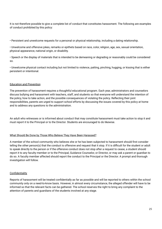It is not therefore possible to give a complete list of conduct that constitutes harassment. The following are examples of conduct prohibited by this policy:

• Persistent and unwelcome requests for a personal or physical relationship, including a dating relationship.

• Unwelcome and offensive jokes, remarks or epithets based on race, color, religion, age, sex, sexual orientation, physical appearance, national origin, or disability.

• Speech or the display of materials that is intended to be demeaning or degrading or reasonably could be considered so.

• Unwelcome physical contact including but not limited to violence, patting, pinching, hugging, or kissing that is either persistent or intentional.

#### Education and Prevention

The prevention of harassment requires a thoughtful educational program. Each year, administrators and counselors discuss bullying and harassment with teachers, staff, and students so that everyone will understand the intention of the policy, how to take action, and the possible consequences of violating the policy. Reflecting their joint responsibilities, parents are urged to support school efforts by discussing the issues covered by this policy at home and to address any questions to the administration.

An adult who witnesses or is informed about conduct that may constitute harassment must take action to stop it and must report it to the Principal or to the Director. Students are encouraged to do likewise.

#### What Should Be Done by Those Who Believe They Have Been Harassed?

A member of the school community who believes she or he has been subjected to harassment should first consider telling the other person(s) that the conduct is offensive and request that it stop. If it is difficult for the student or adult to speak directly to the person or if the offensive conduct does not stop after a request to cease, a student should report it to any faculty member or to the Principal, Guidance Counselor, or Director, or may ask a parent or guardian to do so. A faculty member affected should report the conduct to the Principal or the Director. A prompt and thorough investigation will follow.

#### **Confidentiality**

Reports of harassment will be treated confidentially as far as possible and will be reported to others within the school community only on a need-to-know basis. However, in almost every circumstance, the alleged offender will have to be informed so that the relevant facts can be gathered. The school reserves the right to bring any complaint to the attention of parents and guardians of the students involved at any stage.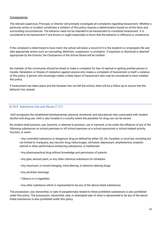#### **Consequences**

The relevant supervisor, Principal, or Director will promptly investigate all complaints regarding harassment. Whether a particular action or incident constitutes a violation of this policy requires a determination based on all the facts and surrounding circumstances. The behavior need not be intended to be harassment to constitute harassment. It is considered to be harassment if one knows or ought reasonably to know that the behavior is offensive or unwelcome.

If the complaint is determined to have merit, the school will place a record of it in the student's or employee's file and take appropriate action such as counseling, detention, suspension, or probation. If expulsion or dismissal is deemed appropriate by the Director, the Chairperson of the School Board will be notified.

No member of the community should be afraid to make a complaint for fear of reprisal or getting another person in trouble. Retaliation or threats of retaliation against anyone who makes a complaint of harassment is itself a violation of this policy. A person who knowingly makes a false report of harassment also may be considered to have violated this policy.

If harassment has taken place and the harasser has not left the school, there will be a follow-up to ensure that the behavior has ceased.

#### 4.10.3 Substance Use and Abuse (7.31)

AAS recognizes the established developmental, physical, emotional, and educational risks associated with student alcohol and drug use. AAS is also located in a country where the penalties for drug use can be severe.

No student shall possess, use, transmit, or attempt to possess, use or transmit, or be under the influence of any of the following substances on school premises or off school premises at a school-sponsored or school-related activity, function, or event:

• Any controlled substance or dangerous drug as defined by either US, UK, Canadian or local law, including but not limited to marijuana, any narcotic drug, hallucinogen, stimulant, depressant, amphetamine, anabolic steroid or other performance enhancing substances, or barbiturate

- Any pharmaceutical drug without knowledge and permission of parents
- Any glue, aerosol paint, or any other chemical substance for inhalation
- Any intoxicant, or mood-changing, mind-altering, or behavior-altering drugs
- Any alcoholic beverage
- Tobacco or e-cigarettes
- Any other substance which is represented to be any of the above listed substances

The possession, use, transmittal, or sale of paraphernalia related to these prohibited substances is also prohibited under this policy. The possession, transmittal, sale, or attempted sale of what is represented to be any of the above listed substances is also prohibited under this policy.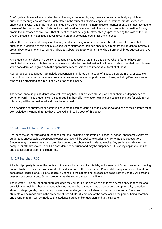"Use" by definition is when a student has voluntarily introduced, by any means, into his or her body a prohibited substance recently enough that it is detectable in the student's physical appearance, actions, breath, speech, or chemical analysis. "Under the influence" is defined as not having the normal use of mental or physical faculties due to the use of the drug or alcohol. A student is considered to be under the influence when he/she tests positive for any prohibited substance at any level. That student need not be legally intoxicated (as prescribed by the laws of the US, UK, or Canada, or any applicable local laws) in order to be considered under the influence.

Where there is reasonable suspicion that any student is using or otherwise under the influence of a prohibited substance in violation of this policy, a School Administrator or their designee may direct that the student submit to a breathalyzer test, or chemical urine analysis (a Substance Test) to determine what, if any, prohibited substances have been used.

Any student who violates this policy, is reasonably suspected of violating this policy, who is found to have any prohibited substance in his/her body, or refuses to take the directed test will be immediately suspended from classes while consideration is given as to the appropriate repercussions and intervention for that student.

Appropriate consequences may include suspension, mandated completion of a support program, and/or expulsion from school. Participation in extra-curricular activities and related opportunities to travel, including Discovery Week trips, will be prohibited as a result of a violation of this policy.

The school encourages students who feel they may have a substance abuse problem or chemical dependence to come forward. These students will be supported in their efforts to seek help. In such cases, penalties for violation of this policy will be reconsidered and possibly modified.

As a condition of enrolment or continued enrolment, each student in Grade 6 and above and one of their parents must acknowledge in writing that they have received and read a copy of this policy.

# 4.10.4 Use of Tobacco Products (7.31)

Use, possession, or trafficking of tobacco products, including e-cigarettes, at school or school-sponsored events by students is unacceptable. Appropriate consequences will be applied to students who violate this expectation. Students may not leave the school premises during the school day in order to smoke. Any student who leaves the campus, or attempts to do so, will be considered to be truant and may be suspended. This policy applies to the use and possession of electronic cigarettes.

# <span id="page-27-0"></span>4.10.5 Searches (7.32)

All school property is under the control of the school board and its officials, and a search of School property, including but not limited to lockers, may be made at the discretion of the Director or a Principal if a suspicion arises that items considered illegal, disruptive, or a general nuisance to the educational process are being kept at School. All personal possessions brought onto School property may be subject to such conditions.

The Director; Principal, or appropriate designee may authorize the search of a student's person and/or possessions only if, in their opinion, there are reasonable indications that a student has drugs or drug paraphernalia, narcotics, stolen or illegal goods, weapons, explosives or other dangerous contraband in his/her possession. Searches of students will be made only in the presence of two adults, at least one of the same sex as the person being searched, and a written report will be made to the student's parent and/or guardian and to the Director.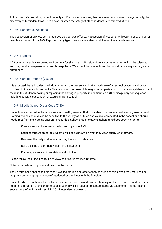At the Director's discretion, School Security and/or local officials may become involved in cases of illegal activity, the discovery of forbidden items listed above, or when the safety of other students is considered at risk.

# <span id="page-28-0"></span>4.10.6 Dangerous Weapons

The possession of any weapon is regarded as a serious offense. Possession of weapons, will result in suspension, or possibly, expulsion from AAS. Replicas of any type of weapon are also prohibited on the school campus.

# <span id="page-28-1"></span>4.10.7 Fighting

AAS provides a safe, welcoming environment for all students. Physical violence or intimidation will not be tolerated and may result in suspension or possibly expulsion. We expect that students will find constructive ways to negotiate differences.

# <span id="page-28-2"></span>4.10.8 Care of Property (7.50.5)

It is expected that all students will do their utmost to preserve and take good care of all school property and property of others in the school community. Vandalism and purposeful damaging of property at school is unacceptable and will result in the student repairing or replacing the damaged property, in addition to a further disciplinary consequence, including possible suspension or expulsion from school.

# <span id="page-28-3"></span>4.10.9 Middle School Dress Code (7.40)

Students are expected to dress in a safe and healthy manner that is suitable for a professional learning environment. Clothing choices should also be sensitive to the variety of cultures and values represented in the school and should not detract from the learning environment. Middle School students at AAS adhere to a dress code in order to:

- Create a sense of ambassadorship and loyalty to AAS.
- Equalize student dress, so students will not be known by what they wear, but by who they are.
- De-stress the daily routine of choosing the appropriate attire.
- Build a sense of community spirit in the students.
- Encourage a sense of propriety and discipline.

Please follow the guidelines found at www.aas.ru/student-life/uniforms.

Note: no large brand logos are allowed on the uniform.

The uniform code applies to field trips, traveling groups, and other school related activities when required. The final judgment on the appropriateness of student dress will rest with the Principal.

Students who do not honor the uniform code will be issued a uniform violation slip on the first and second occasion. For a third infraction of the uniform code students will be required to contact home via telephone. The fourth and subsequent infractions will result in 30 minutes detention each.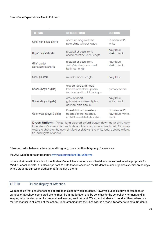| <b>ITEMS</b>                          | <b>DESCRIPTION</b>                                                                    | <b>COLORS</b>                               |
|---------------------------------------|---------------------------------------------------------------------------------------|---------------------------------------------|
| Girls' and boys' shirts               | short- or long-sleeved<br>polo shirts without logos                                   | Russian red*,<br>white                      |
| Boys' pants/shorts                    | pleated or plain front,<br>shorts must be knee-length                                 | navy blue,<br>khaki, black                  |
| Girls' pants/<br>skirts/skorts/shorts | pleated or plain front,<br>skirts/skorts/shorts must<br>be knee-length                | navy blue,<br>khaki, black                  |
| Girls' pinafore                       | must be knee-length                                                                   | navy blue                                   |
| Shoes (boys & girls)                  | closed toes and heels:<br>trainers or leather uppers<br>(no boots) with minimal logos | primary colors                              |
| Socks (boys & girls)                  | crew or sport;<br>girls may also wear tights<br>or knee-high socks                    | navy blue,<br>white, black                  |
| Outerwear (boys & girls)              | Sweatshirts or sweaters,<br>hooded or not hooded,<br>or AAS sweatshirts/hoodies       | Russian red*.<br>navy blue, white,<br>black |
|                                       | <b>Drogo Uniform:</b> White Jong cleaved overal button down coller chirty now         |                                             |

**Dress Uniform:** White, long-sleeved oxford button-down collar shirt, navy blue slacks/trousers, tie, black shoes, black socks, and black belt. Girls may wear the above or the navy pinafore or skirt with the white long-sleeved oxford, tie, and tights or socks.

\* Russian red is between a true red and burgundy, more red than burgundy. Please view

the AAS website for a photograph: [www.aas.ru/student-life/uniforms](http://www.aas.ru/student-life/uniforms).

In consultation with the school, the Student Council has created a modified dress code considered appropriate for Middle School socials. It is also important to note that on occasion the Student Council organizes special dress days where students can wear clothes that fit the day's theme.

# <span id="page-29-0"></span>4.10.10 Public Display of Affection

We recognize that genuine feelings of affection exist between students. However, public displays of affection on campus or at school-sponsored events must be in moderation and be sensitive to the school environment and in keeping with the decorum of a professional learning environment. We expect students to conduct themselves in a mature manner in all areas of the school, understanding that their behavior is a model for other students. Students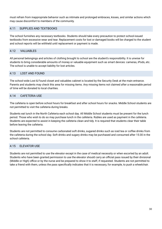must refrain from inappropriate behavior such as intimate and prolonged embraces, kisses, and similar actions which may cause discomfort to members of the community.

# <span id="page-30-0"></span>4.11 SUPPLIES AND TEXTBOOKS

The school furnishes any necessary textbooks. Students should take every precaution to protect school-issued textbooks from excessive wear and tear. Replacement costs for lost or damaged books will be charged to the student and school reports will be withheld until replacement or payment is made.

#### <span id="page-30-1"></span>4.12 VALUABLES

All personal belongings and articles of clothing brought to school are the student's responsibility. It is unwise for students to bring considerable amounts of money or valuable equipment such as smart devices: cameras, iPods, etc. The school is unable to accept liability for lost articles.

# <span id="page-30-2"></span>4.13 LOST AND FOUND

The school-wide Lost & Found closet and valuables cabinet is located by the Security Desk at the main entrance. Parents and students may check this area for missing items. Any missing items not claimed after a reasonable period of time will be donated to local charities.

# <span id="page-30-3"></span>4.14 CAFETERIA USE

The cafeteria is open before school hours for breakfast and after school hours for snacks. Middle School students are not permitted to visit the cafeteria during breaks.

Students eat lunch in the North Cafeteria each school day. All Middle School students must be present for the lunch period. Those who wish to do so may purchase lunch in the cafeteria. Rubles are used as payment in the cafeteria. Students are expected to assist in keeping the cafeteria clean and tidy. It is required that students clear their table before leaving the cafeteria.

Students are not permitted to consume carbonated soft drinks, sugared drinks such as iced tea or coffee drinks from the cafeteria during the school day. Soft drinks and sugary drinks may be purchased and consumed after 15:30 in the school cafeteria.

# <span id="page-30-4"></span>4.15 ELEVATOR USE

Students are not permitted to use the elevator except in the case of medical necessity or when escorted by an adult. Students who have been granted permission to use the elevator should carry an official pass issued by their divisional (Middle or High) office or by the nurse and be prepared to show it to staff, if requested. Students are not permitted to take a friend with them, unless the pass specifically indicates that it is necessary, for example, to push a wheelchair.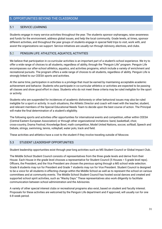# <span id="page-31-0"></span>5. OPPORTUNITIES BEYOND THE CLASSROOM

# <span id="page-31-1"></span>5.1 SERVICE LEARNING

Students engage in many service activities throughout the year. The students sponsor orphanages, raise awareness and funds for the environment, address global issues, and help the local community. Grade levels, at times, sponsor different activities, and throughout the year groups of students engage in special field trips to visit, work with, and assist the organizations we support. Service initiatives are usually run through Advisory, electives, and clubs.

#### <span id="page-31-2"></span>5.2 PENGUIN LIFE: ATHLETICS, AQUATICS, ACTIVITIES

We believe that participation in co-curricular activities is an important part of a student's school experience. We try to offer a wide range of choices to all students, regardless of ability, through the "Penguin Life" program. Penguin Life encompasses our after-school athletics, aquatics, and activities programs, which include a variety of enrichment and recreational pursuits. The program offers a wide range of choices to all students, regardless of ability. Penguin Life is strongly linked to our CEESA sports and activities.

At the same time, participation in activities is a privilege that must be earned by maintaining acceptable academic achievement and behavior. Students who participate in co-curricular athletics or activities are expected to be passing all classes and show good effort in class. Students who do not meet these criteria may be ruled ineligible for the sport or activity.

Students who are suspended for incidences of academic dishonesty or other behavioral issues may also be ruled ineligible for a sport or activity. In such situations, the Athletic Director and coach will meet with the teacher, student, and relevant members of the Special Educational Needs Team to decide upon the best course of action. The Principal will make the final determination of a student's eligibility.

The following sports and activities offer opportunities for international events and competition, either within CEESA (Central Eastern European Association) or through other organizational invitations: band, basketball, choir, cross-country, Drama Festival, Knowledge Bowl, math competition, Model United Nations, soccer, softball, Speech and Debate, strings, swimming, tennis, volleyball, water polo, track and field.

These activities and athletics have a cost to the student if they involve traveling outside of Moscow.

# <span id="page-31-3"></span>5.3 STUDENT LEADERSHIP OPPORTUNITIES

Student leadership opportunities exist through year-long activities such as MS Student Council or Global Impact Club..

The Middle School Student Council consists of representatives from the three grade levels and derive from their House. Each House in the grade level chooses a representative for Student Council (5 Houses = 5 grade level reps). Officers, the President, and the Vice President are chosen the previous spring through a MS school wide selection. Grade 8 students may run for President and Grade 7 students may run for Vice President. Student Council is designed to be a voice for all students in effecting change within the Middle School as well as to represent the school on various committees and at community events. The Middle School Student Council has hosted social dances and created and supported school spirit activities, such as "Wacky Days." These representatives also work diligently to facilitate communication between school administration and the Advisories.

A variety of other special interest clubs or recreational programs also exist, based on student and faculty interest. Proposals for these activities are welcomed by the Penguin Life department and if approved, will usually run for one 6-8 week period.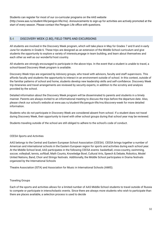Students can register for most of our co-curricular programs on the AAS website (http://www.aas.ru/student-life/penguin-life/ms). Announcements to sign-up for activities are actively promoted at the start of every season. Please contact the Penguin Life office with questions.

# <span id="page-32-0"></span>5.4 DISCOVERY WEEK (2.80), FIELD TRIPS AND EXCURSIONS

All students are involved in the Discovery Week program, which will take place in May for Grades 7 and 8 and in early June for students in Grade 6. These trips are designed as an extension of the Middle School curriculum and give students the opportunity to explore a variety of interests,engage in team building, and learn about themselves and each other as well as our wonderful host country.

All students are strongly encouraged to participate in the above trips. In the event that a student is unable to travel, a school-based Discovery Week program is available.

Discovery Week trips are organized by Advisory groups, who travel with advisors, faculty and staff supervisors. This affords faculty and students the opportunity to interact in an environment outside of school. In this context, outside of the familiar patterns of school and home, students develop new leadership skills and self-confidence. Discovery Week trip itineraries and travel arrangements are reviewed by security experts, in addition to the scrutiny and analysis provided by the school.

Detailed information about the Discovery Week program will be disseminated to parents and students in a timely manner. Parents are always invited to an informational meeting to discuss the trips before the departure date. Also, please check our school's website at www.aas.ru/student-life/penguin-life/ms/discovery-week for more detailed information.

Students who do not participate in Discovery Week are considered absent from school. If a student does not travel during Discovery Week, their opportunity to travel with other school groups during that school year may be reviewed.

Students traveling outside of the school are still obliged to adhere to the school's code of conduct.

# CEESA Sports and Activities

AAS belongs to the Central and Eastern European School Association (CEESA). CEESA brings together a number of American and international schools in the Eastern European region for sports and activities during each school year. At the Middle School level, AAS participates in the following CEESA events: basketball, cross-country, swimming, soccer, volleyball, tennis, softball, Math Counts, Knowledge Bowl, Cultural Arts, Speech & Debate, Robotics, Model United Nations, Band, Choir and Strings festivals. Additionally, the Middle School participates in Drama festivals organized by the International Schools

Theatre Association (ISTA) and Association for Music in International Schools (AMIS).

#### Traveling Groups

Each of the sports and activities allows for a limited number of AAS Middle School students to travel outside of Russia to compete or participate in interscholastic events. Since there are always more students who wish to participate than there are places available, a selection process is used to decide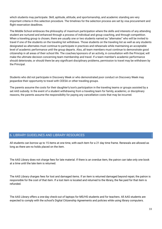which students may participate. Skill, aptitude, attitude, and sportsmanship, and academic standing are very important criteria in this selection procedure. The timelines for the selection process are set by visa procurement and flight reservation deadlines.

The Middle School embraces the philosophy of maximum participation where the skills and interests of any attending student are nurtured and enhanced through a process of individual and group coaching, and through competition. When a traveling group is chosen, there are usually one or two students named as "alternates" who will be invited to travel if one of the students on the traveling list withdraws. Those students on the traveling list as well as any students designated as alternates must continue to participate in practices and rehearsals while maintaining an acceptable level of academic performance until the group departs. Also, all team members must continue to demonstrate good citizenship in all areas of their school life. The coaches/sponsors of an activity, in consultation with the Principal, will make the ultimate decision concerning team membership and travel. If a team member's academic performance should deteriorate, or should there be any significant disciplinary problems, permission to travel may be withdrawn by the Principal.

Students who did not participate in Discovery Week or who demonstrated poor conduct on Discovery Week may jeopardize their opportunity to travel with CEESA or other traveling groups.

The parents assume the costs for their daughter's/son's participation in the traveling teams or groups assisted by a set AAS subsidy. In the event of a student withdrawing from a traveling team for family, academic, or disciplinary reasons, the parents assume the responsibility for paying any cancellation costs that may be incurred.

# 6. LIBRARY GUIDELINES AND LIBRARY RESOURCES

All students can borrow up to 15 items at one time, with each item for a 21 day time frame. Renewals are allowed as long as there are no holds placed on the item.

The AAS Library does not charge fees for late material. If there is an overdue item, the patron can take only one book at a time until the late item is returned.

The AAS Library charges fees for lost and damaged items. If an item is returned damaged beyond repair, the patron is responsible for the cost of that item. If a lost item is located and returned to the library, the fee paid for that item is refunded.

The AAS Library offers a one-day check-out of laptops for MS/HS students and for teachers. All AAS students are expected to comply with the school's Digital Citizenship Agreements and policies while using library computers.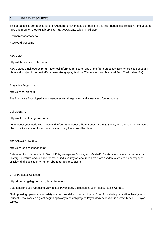# 6.1 LIBRARY RESOURCES

This database information is for the AAS community. Please do not share this information electronically. Find updated links and more on the AAS Library site, http://www.aas.ru/learning/library

Username: aasmoscow

Password: penguins

#### ABC-CLIO

http://databases.abc-clio.com/

ABC-CLIO is a rich source for all historical information. Search any of the four databases here for articles about any historical subject in context. (Databases: Geography, World at War, Ancient and Medieval Eras, The Modern Era).

#### Britannica Encyclopedia

http://school.eb.co.uk

The Britannica Encyclopedia has resources for all age levels and is easy and fun to browse.

#### **CultureGrams**

http://online.culturegrams.com/

Learn about your world with maps and information about different countries, U.S. States, and Canadian Provinces, or check the kid's edition for explorations into daily life across the planet.

#### EBSCOHost Collection

#### http://search.ebscohost.com/

Databases include: Academic Search Elite, Newspaper Source, and MasterFILE databases, reference centers for History, Literature, and Science for more.Find a variety of resources here, from academic articles, to newspaper articles of all ages, to information about particular subjects.

#### GALE Database Collection

http://infotrac.galegroup.com/default/aasmos

Databases include: Opposing Viewpoints, Psychology Collection, Student Resources in Context

Find opposing opinions on a variety of controversial and current topics. Great for debate preparation. Navigate to Student Resources as a great beginning to any research project. Psychology collection is perfect for all DP Psych topics.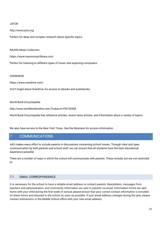#### JSTOR

http://www.jstor.org

Perfect for deep and complex research about specific topics

NAXOS Music Collection

https://www.naxosmusiclibrary.com

Perfect for listening to different types of music and exploring composers.

#### **OVERDRIVE**

https://www.overdrive.com/

Don't forget about Overdrive, for access to ebooks and audiobooks.

#### World Book Encyclopedia

http://www.worldbookonline.com/?subacct=FN120308

World Book Encyclopedia has reference articles, recent news articles, and information about a variety of topics.

We also have access to the New York Times. See the librarians for access information.

# <span id="page-35-0"></span>7 COMMUNICATIONS

AAS makes every effort to include parents in discussions concerning school issues. Through clear and open communication by both parents and school staff, we can ensure that all students have the best educational experience possible.

There are a number of ways in which the school will communicate with parents. These include, but are not restricted to:

#### <span id="page-35-1"></span>7.1 EMAIL CORRESPONDENCE

It is necessary for the school to have a reliable email address to contact parents. Newsletters, messages from teachers and administration, and community information are sent to parents via email. Information forms are sent home with your child during the first week of school; please ensure that your correct contact information is included on these forms and returned to the school as soon as possible. If your email address changes during the year, please contact Admissions or the Middle School office with your new email address.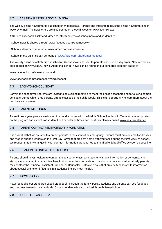# 7.2 AAS NEWSLETTER & SOCIAL MEDIA

The weekly online newsletter is published on Wednesdays. Parents and students receive the online newsletters each week by e-mail. The newsletters are also posted on the AAS website, www.aas.ru/news.

AAS uses Facebook, Flickr and Vimeo to inform parents of school news and student life.

- School news is shared through www.facebook.com/aasmoscow/.
- School videos can be found at www.vimeo.com/aasmoscow.
- School photo galleries can be found at [www.flickr.com/photos/aasmoscow](http://www.flickr.com/photos/aasmoscow).

The weekly online newsletter is published on Wednesdays and sent to parents and students by email. Newsletters are also posted on www.aas.ru/news. Additional school news can be found on our school's Facebook pages at

www.facebook.com/aasmoscow and

www.facebook.com/aasmoscowmiddleschool

#### <span id="page-36-0"></span>7.3 BACK-TO-SCHOOL NIGHT

Early in the school year, parents are invited to an evening meeting to meet their child's teachers and to follow a sample schedule, during which time parents attend classes as their child would. This is an opportunity to learn more about the teachers and classes.

#### <span id="page-36-1"></span>7.4 PARENT MEETINGS

Three times a year, parents are invited to attend a coffee with the Middle School Leadership Team to receive updates on the program and aspects of student life. For detailed times and locations please consult [www.aas.ru/calendar.](http://www.aas.ru/calendar)

#### <span id="page-36-2"></span>7.5 PARENT CONTACT (EMERGENCY) INFORMATION

It is essential that we are able to contact parents in the event of an emergency. Parents must provide email addresses and mobile phone numbers on the First Day Forms that are sent home with your child during the first week of school. We request that any changes in your contact information are reported to the Middle School office as soon as possible.

#### <span id="page-36-3"></span>7.6 COMMUNICATING WITH TEACHERS

Parents should never hesitate to contact the advisor or classroom teacher with any information or concerns. It is strongly encouraged to contact teachers first for any classroom-related questions or concerns. Alternatively, parents may contact the Principal, Assistant Principal or Counselor. Notes or emails that provide teachers with information about special events or difficulties in a student's life are most helpful.

#### 7.7 POWERSCHOOL

PowerSchool is our standards-based gradebook. Through the family portal, students and parents can see feedback and progress towards the standards. Class attendance is also tracked through PowerSchool.

## <span id="page-36-4"></span>7.8 GOOGLE CLASSROOM